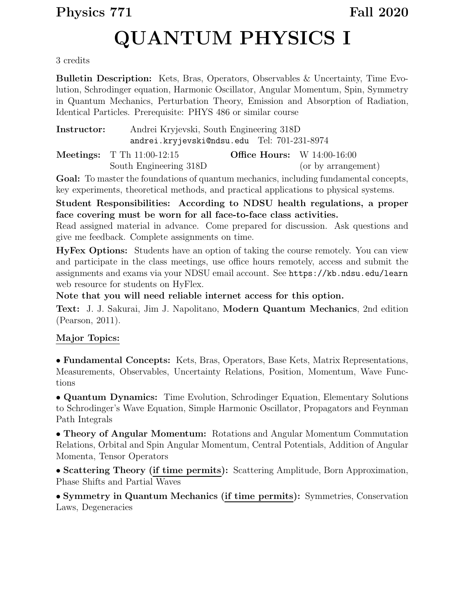# Physics 771 Fall 2020

# QUANTUM PHYSICS I

#### 3 credits

Bulletin Description: Kets, Bras, Operators, Observables & Uncertainty, Time Evolution, Schrodinger equation, Harmonic Oscillator, Angular Momentum, Spin, Symmetry in Quantum Mechanics, Perturbation Theory, Emission and Absorption of Radiation, Identical Particles. Prerequisite: PHYS 486 or similar course

| Instructor: | Andrei Kryjevski, South Engineering 318D     |                                      |                     |
|-------------|----------------------------------------------|--------------------------------------|---------------------|
|             | andrei.kryjevski@ndsu.edu Tel: 701-231-8974  |                                      |                     |
|             | <b>Meetings:</b> $T \text{ Th } 11:00-12:15$ | <b>Office Hours:</b> W $14:00-16:00$ |                     |
|             | South Engineering 318D                       |                                      | (or by arrangement) |

Goal: To master the foundations of quantum mechanics, including fundamental concepts, key experiments, theoretical methods, and practical applications to physical systems.

#### Student Responsibilities: According to NDSU health regulations, a proper face covering must be worn for all face-to-face class activities.

Read assigned material in advance. Come prepared for discussion. Ask questions and give me feedback. Complete assignments on time.

HyFex Options: Students have an option of taking the course remotely. You can view and participate in the class meetings, use office hours remotely, access and submit the assignments and exams via your NDSU email account. See https://kb.ndsu.edu/learn web resource for students on HyFlex.

Note that you will need reliable internet access for this option.

Text: J. J. Sakurai, Jim J. Napolitano, Modern Quantum Mechanics, 2nd edition (Pearson, 2011).

### Major Topics:

• Fundamental Concepts: Kets, Bras, Operators, Base Kets, Matrix Representations, Measurements, Observables, Uncertainty Relations, Position, Momentum, Wave Functions

• Quantum Dynamics: Time Evolution, Schrodinger Equation, Elementary Solutions to Schrodinger's Wave Equation, Simple Harmonic Oscillator, Propagators and Feynman Path Integrals

• Theory of Angular Momentum: Rotations and Angular Momentum Commutation Relations, Orbital and Spin Angular Momentum, Central Potentials, Addition of Angular Momenta, Tensor Operators

• Scattering Theory (if time permits): Scattering Amplitude, Born Approximation, Phase Shifts and Partial Waves

• Symmetry in Quantum Mechanics (if time permits): Symmetries, Conservation Laws, Degeneracies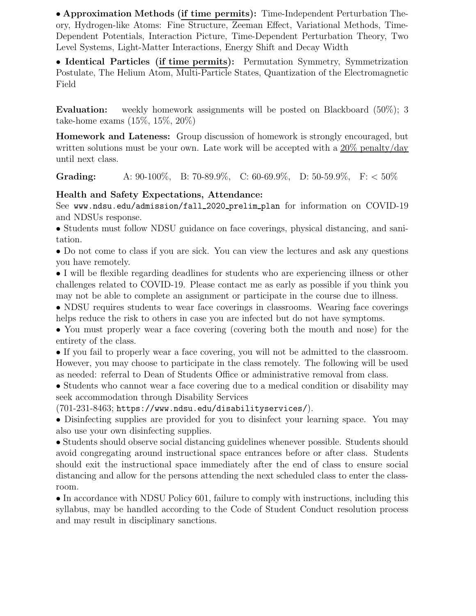• Approximation Methods (if time permits): Time-Independent Perturbation Theory, Hydrogen-like Atoms: Fine Structure, Zeeman Effect, Variational Methods, Time-Dependent Potentials, Interaction Picture, Time-Dependent Perturbation Theory, Two Level Systems, Light-Matter Interactions, Energy Shift and Decay Width

• Identical Particles (if time permits): Permutation Symmetry, Symmetrization Postulate, The Helium Atom, Multi-Particle States, Quantization of the Electromagnetic Field

Evaluation: weekly homework assignments will be posted on Blackboard (50%); 3 take-home exams (15%, 15%, 20%)

Homework and Lateness: Group discussion of homework is strongly encouraged, but written solutions must be your own. Late work will be accepted with a 20% penalty/day until next class.

Grading: A:  $90-100\%$ , B:  $70-89.9\%$ , C:  $60-69.9\%$ , D:  $50-59.9\%$ , F:  $< 50\%$ 

## Health and Safety Expectations, Attendance:

See www.ndsu.edu/admission/fall 2020 prelim plan for information on COVID-19 and NDSUs response.

• Students must follow NDSU guidance on face coverings, physical distancing, and sanitation.

• Do not come to class if you are sick. You can view the lectures and ask any questions you have remotely.

• I will be flexible regarding deadlines for students who are experiencing illness or other challenges related to COVID-19. Please contact me as early as possible if you think you may not be able to complete an assignment or participate in the course due to illness.

• NDSU requires students to wear face coverings in classrooms. Wearing face coverings helps reduce the risk to others in case you are infected but do not have symptoms.

• You must properly wear a face covering (covering both the mouth and nose) for the entirety of the class.

• If you fail to properly wear a face covering, you will not be admitted to the classroom. However, you may choose to participate in the class remotely. The following will be used as needed: referral to Dean of Students Office or administrative removal from class.

• Students who cannot wear a face covering due to a medical condition or disability may seek accommodation through Disability Services

(701-231-8463; https://www.ndsu.edu/disabilityservices/).

• Disinfecting supplies are provided for you to disinfect your learning space. You may also use your own disinfecting supplies.

• Students should observe social distancing guidelines whenever possible. Students should avoid congregating around instructional space entrances before or after class. Students should exit the instructional space immediately after the end of class to ensure social distancing and allow for the persons attending the next scheduled class to enter the classroom.

• In accordance with NDSU Policy 601, failure to comply with instructions, including this syllabus, may be handled according to the Code of Student Conduct resolution process and may result in disciplinary sanctions.